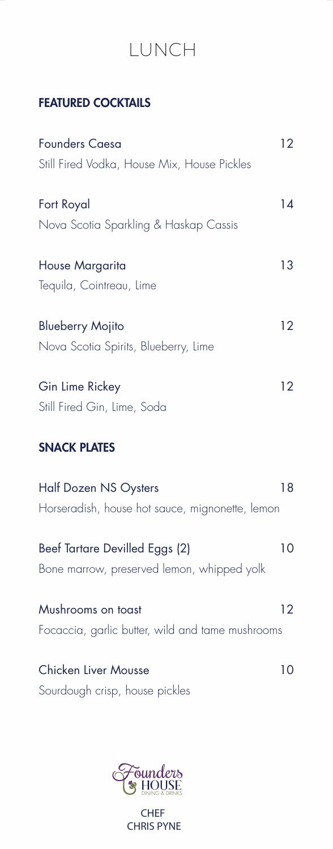## LUNCH

## FEATURED COCKTAILS

| <b>Founders Caesa</b><br>Still Fired Vodka, House Mix, House Pickles            | 12 |
|---------------------------------------------------------------------------------|----|
| Fort Royal<br>Nova Scotia Sparkling & Haskap Cassis                             | 14 |
| House Margarita<br>Tequila, Cointreau, Lime                                     | 13 |
| <b>Blueberry Mojito</b><br>Nova Scotia Spirits, Blueberry, Lime                 | 12 |
| Gin Lime Rickey<br>Still Fired Gin, Lime, Soda                                  | 12 |
| <b>SNACK PLATES</b>                                                             |    |
| <b>Half Dozen NS Oysters</b><br>Horseradish, house hot sauce, mignonette, lemon | 18 |
| Beef Tartare Devilled Eggs (2)<br>Bone marrow, preserved lemon, whipped yolk    | 10 |
| Mushrooms on toast<br>Focaccia, garlic butter, wild and tame mushrooms          | 12 |
|                                                                                 |    |

Chicken Liver Mousse 10 Sourdough crisp, house pickles



CHRIS PYNE CHEF